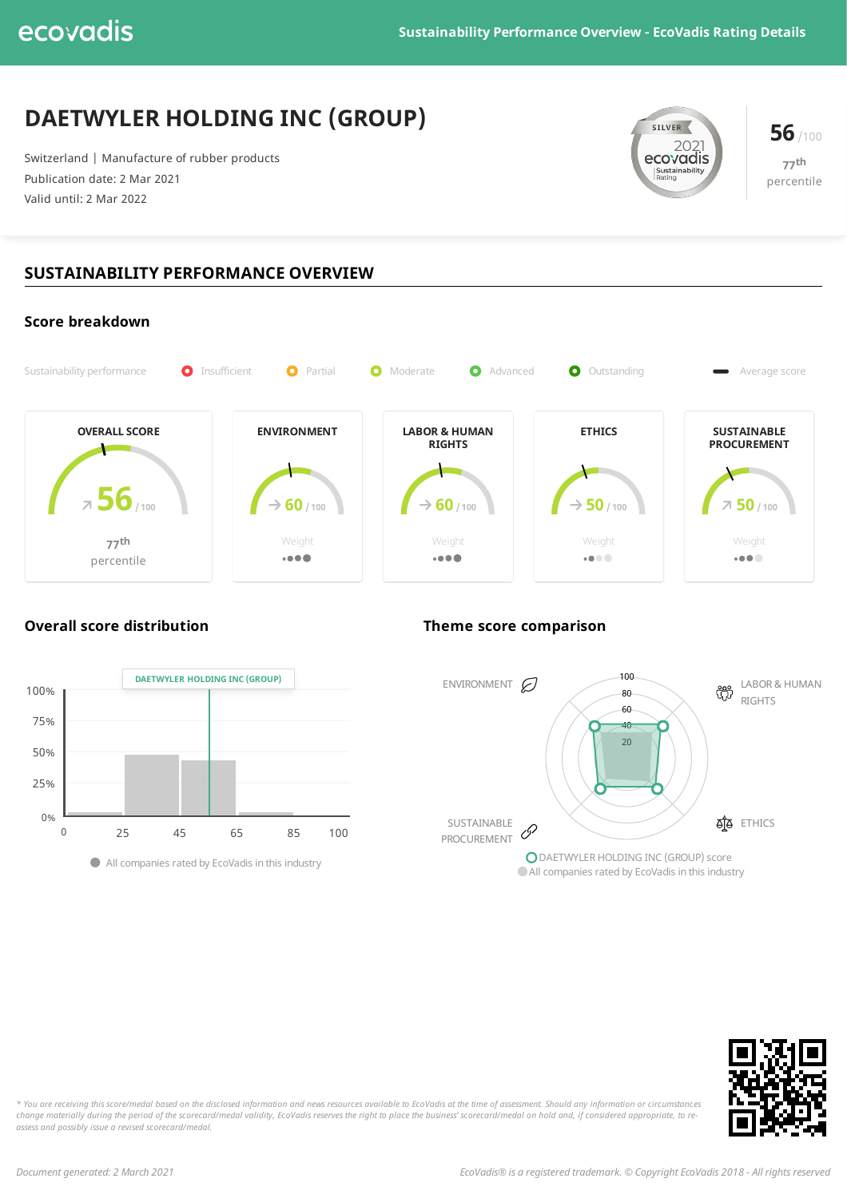# **DAETWYLER HOLDING INC (GROUP)**

Switzerland | Manufacture of rubber products Publication date: 2 Mar 2021 Valid until: 2 Mar 2022



**77 th** percentile

# **SUSTAINABILITY PERFORMANCE OVERVIEW**



## **Overall score distribution Theme score comparison**





\* You are receiving this score/medal based on the disclosed information and news resources available to EcoVadis at the time of assessment. Should any information or circumstances change materially during the period of the scorecard/medal validity, EcoVadis reserves the right to place the business' scorecard/medal on hold and, if considered appropriate, to re*assess and possibly issue a revised scorecard/medal.*